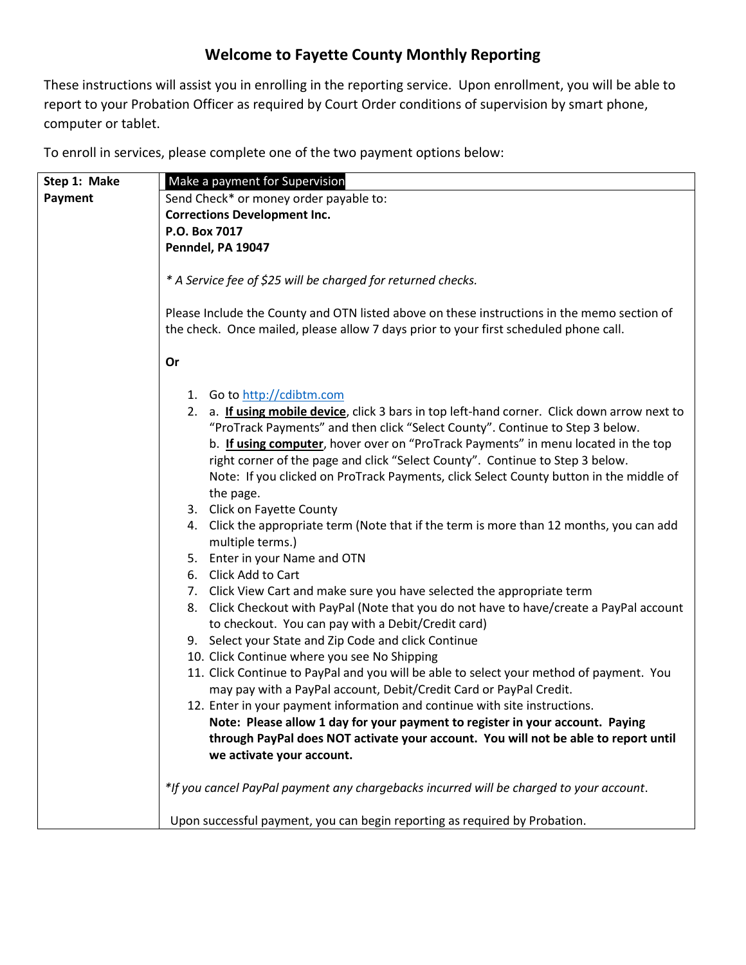## **Welcome to Fayette County Monthly Reporting**

These instructions will assist you in enrolling in the reporting service. Upon enrollment, you will be able to report to your Probation Officer as required by Court Order conditions of supervision by smart phone, computer or tablet.

To enroll in services, please complete one of the two payment options below:

| Step 1: Make | Make a payment for Supervision                                                                                                                                                                                                                                                                                                                       |
|--------------|------------------------------------------------------------------------------------------------------------------------------------------------------------------------------------------------------------------------------------------------------------------------------------------------------------------------------------------------------|
| Payment      | Send Check* or money order payable to:                                                                                                                                                                                                                                                                                                               |
|              | <b>Corrections Development Inc.</b>                                                                                                                                                                                                                                                                                                                  |
|              | P.O. Box 7017                                                                                                                                                                                                                                                                                                                                        |
|              | Penndel, PA 19047                                                                                                                                                                                                                                                                                                                                    |
|              |                                                                                                                                                                                                                                                                                                                                                      |
|              | * A Service fee of \$25 will be charged for returned checks.                                                                                                                                                                                                                                                                                         |
|              | Please Include the County and OTN listed above on these instructions in the memo section of<br>the check. Once mailed, please allow 7 days prior to your first scheduled phone call.                                                                                                                                                                 |
|              | Or                                                                                                                                                                                                                                                                                                                                                   |
|              | 1. Go to http://cdibtm.com                                                                                                                                                                                                                                                                                                                           |
|              | 2. a. If using mobile device, click 3 bars in top left-hand corner. Click down arrow next to<br>"ProTrack Payments" and then click "Select County". Continue to Step 3 below.<br>b. If using computer, hover over on "ProTrack Payments" in menu located in the top<br>right corner of the page and click "Select County". Continue to Step 3 below. |
|              | Note: If you clicked on ProTrack Payments, click Select County button in the middle of<br>the page.<br>3. Click on Fayette County                                                                                                                                                                                                                    |
|              | 4. Click the appropriate term (Note that if the term is more than 12 months, you can add<br>multiple terms.)                                                                                                                                                                                                                                         |
|              | 5. Enter in your Name and OTN                                                                                                                                                                                                                                                                                                                        |
|              | 6. Click Add to Cart                                                                                                                                                                                                                                                                                                                                 |
|              | 7. Click View Cart and make sure you have selected the appropriate term                                                                                                                                                                                                                                                                              |
|              | 8. Click Checkout with PayPal (Note that you do not have to have/create a PayPal account<br>to checkout. You can pay with a Debit/Credit card)                                                                                                                                                                                                       |
|              | 9. Select your State and Zip Code and click Continue                                                                                                                                                                                                                                                                                                 |
|              | 10. Click Continue where you see No Shipping                                                                                                                                                                                                                                                                                                         |
|              | 11. Click Continue to PayPal and you will be able to select your method of payment. You                                                                                                                                                                                                                                                              |
|              | may pay with a PayPal account, Debit/Credit Card or PayPal Credit.                                                                                                                                                                                                                                                                                   |
|              | 12. Enter in your payment information and continue with site instructions.                                                                                                                                                                                                                                                                           |
|              | Note: Please allow 1 day for your payment to register in your account. Paying                                                                                                                                                                                                                                                                        |
|              | through PayPal does NOT activate your account. You will not be able to report until                                                                                                                                                                                                                                                                  |
|              | we activate your account.                                                                                                                                                                                                                                                                                                                            |
|              |                                                                                                                                                                                                                                                                                                                                                      |
|              | *If you cancel PayPal payment any chargebacks incurred will be charged to your account.                                                                                                                                                                                                                                                              |
|              | Upon successful payment, you can begin reporting as required by Probation.                                                                                                                                                                                                                                                                           |